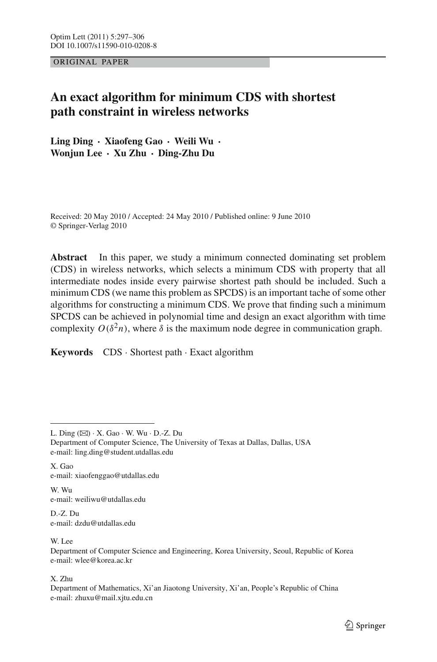ORIGINAL PAPER

# **An exact algorithm for minimum CDS with shortest path constraint in wireless networks**

**Ling Ding · Xiaofeng Gao · Weili Wu · Wonjun Lee · Xu Zhu · Ding-Zhu Du**

Received: 20 May 2010 / Accepted: 24 May 2010 / Published online: 9 June 2010 © Springer-Verlag 2010

**Abstract** In this paper, we study a minimum connected dominating set problem (CDS) in wireless networks, which selects a minimum CDS with property that all intermediate nodes inside every pairwise shortest path should be included. Such a minimum CDS (we name this problem as SPCDS) is an important tache of some other algorithms for constructing a minimum CDS. We prove that finding such a minimum SPCDS can be achieved in polynomial time and design an exact algorithm with time complexity  $O(\delta^2 n)$ , where  $\delta$  is the maximum node degree in communication graph.

**Keywords** CDS · Shortest path · Exact algorithm

X. Gao e-mail: xiaofenggao@utdallas.edu

W. Wu e-mail: weiliwu@utdallas.edu

D.-Z. Du e-mail: dzdu@utdallas.edu

W. Lee

X. Zhu

L. Ding  $(\boxtimes) \cdot X$ . Gao  $\cdot W$ . Wu  $\cdot$  D.-Z. Du

Department of Computer Science, The University of Texas at Dallas, Dallas, USA e-mail: ling.ding@student.utdallas.edu

Department of Computer Science and Engineering, Korea University, Seoul, Republic of Korea e-mail: wlee@korea.ac.kr

Department of Mathematics, Xi'an Jiaotong University, Xi'an, People's Republic of China e-mail: zhuxu@mail.xjtu.edu.cn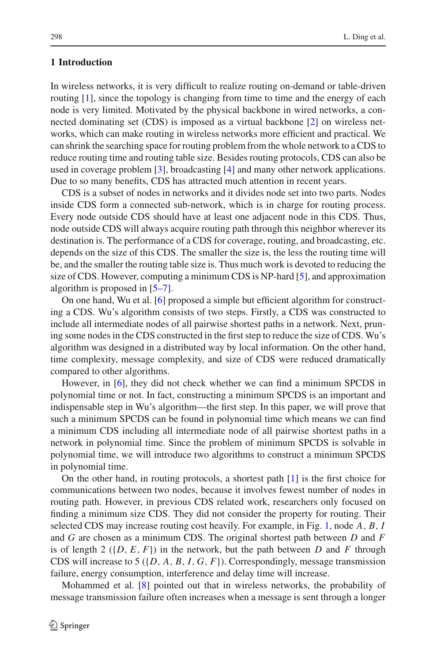# **1 Introduction**

In wireless networks, it is very difficult to realize routing on-demand or table-driven routing [\[1\]](#page-8-0), since the topology is changing from time to time and the energy of each node is very limited. Motivated by the physical backbone in wired networks, a connected dominating set (CDS) is imposed as a virtual backbone [\[2\]](#page-8-1) on wireless networks, which can make routing in wireless networks more efficient and practical. We can shrink the searching space for routing problem from the whole network to a CDS to reduce routing time and routing table size. Besides routing protocols, CDS can also be used in coverage problem [\[3](#page-8-2)], broadcasting [\[4](#page-8-3)] and many other network applications. Due to so many benefits, CDS has attracted much attention in recent years.

CDS is a subset of nodes in networks and it divides node set into two parts. Nodes inside CDS form a connected sub-network, which is in charge for routing process. Every node outside CDS should have at least one adjacent node in this CDS. Thus, node outside CDS will always acquire routing path through this neighbor wherever its destination is. The performance of a CDS for coverage, routing, and broadcasting, etc. depends on the size of this CDS. The smaller the size is, the less the routing time will be, and the smaller the routing table size is. Thus much work is devoted to reducing the size of CDS. However, computing a minimum CDS is NP-hard [\[5](#page-8-4)], and approximation algorithm is proposed in [\[5](#page-8-4)[–7\]](#page-8-5).

On one hand, Wu et al. [\[6\]](#page-8-6) proposed a simple but efficient algorithm for constructing a CDS. Wu's algorithm consists of two steps. Firstly, a CDS was constructed to include all intermediate nodes of all pairwise shortest paths in a network. Next, pruning some nodes in the CDS constructed in the first step to reduce the size of CDS. Wu's algorithm was designed in a distributed way by local information. On the other hand, time complexity, message complexity, and size of CDS were reduced dramatically compared to other algorithms.

However, in [\[6\]](#page-8-6), they did not check whether we can find a minimum SPCDS in polynomial time or not. In fact, constructing a minimum SPCDS is an important and indispensable step in Wu's algorithm—the first step. In this paper, we will prove that such a minimum SPCDS can be found in polynomial time which means we can find a minimum CDS including all intermediate node of all pairwise shortest paths in a network in polynomial time. Since the problem of minimum SPCDS is solvable in polynomial time, we will introduce two algorithms to construct a minimum SPCDS in polynomial time.

On the other hand, in routing protocols, a shortest path [\[1](#page-8-0)] is the first choice for communications between two nodes, because it involves fewest number of nodes in routing path. However, in previous CDS related work, researchers only focused on finding a minimum size CDS. They did not consider the property for routing. Their selected CDS may increase routing cost heavily. For example, in Fig. [1,](#page-2-0) node *A*, *B*, *I* and *G* are chosen as a minimum CDS. The original shortest path between *D* and *F* is of length 2 ( $\{D, E, F\}$ ) in the network, but the path between *D* and *F* through CDS will increase to 5 ({*D*, *A*, *B*, *I*, *G*, *F*}). Correspondingly, message transmission failure, energy consumption, interference and delay time will increase.

Mohammed et al. [\[8](#page-8-7)] pointed out that in wireless networks, the probability of message transmission failure often increases when a message is sent through a longer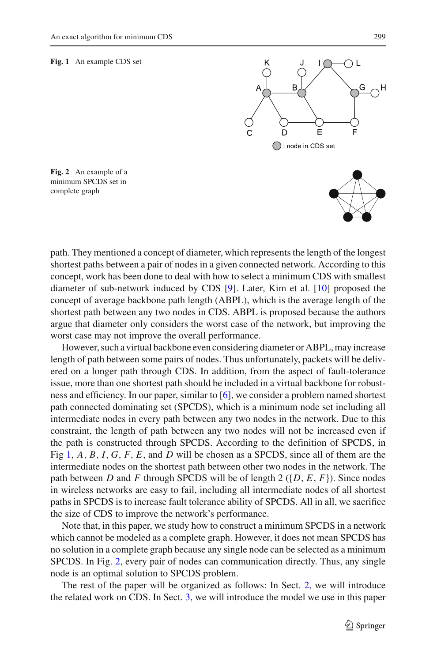#### <span id="page-2-0"></span>**Fig. 1** An example CDS set



<span id="page-2-1"></span>**Fig. 2** An example of a minimum SPCDS set in complete graph

path. They mentioned a concept of diameter, which represents the length of the longest shortest paths between a pair of nodes in a given connected network. According to this concept, work has been done to deal with how to select a minimum CDS with smallest diameter of sub-network induced by CDS [\[9](#page-9-0)]. Later, Kim et al. [\[10\]](#page-9-1) proposed the concept of average backbone path length (ABPL), which is the average length of the shortest path between any two nodes in CDS. ABPL is proposed because the authors argue that diameter only considers the worst case of the network, but improving the worst case may not improve the overall performance.

However, such a virtual backbone even considering diameter or ABPL, may increase length of path between some pairs of nodes. Thus unfortunately, packets will be delivered on a longer path through CDS. In addition, from the aspect of fault-tolerance issue, more than one shortest path should be included in a virtual backbone for robustness and efficiency. In our paper, similar to [\[6](#page-8-6)], we consider a problem named shortest path connected dominating set (SPCDS), which is a minimum node set including all intermediate nodes in every path between any two nodes in the network. Due to this constraint, the length of path between any two nodes will not be increased even if the path is constructed through SPCDS. According to the definition of SPCDS, in Fig [1,](#page-2-0) *A*, *B*, *I*, *G*, *F*, *E*, and *D* will be chosen as a SPCDS, since all of them are the intermediate nodes on the shortest path between other two nodes in the network. The path between *D* and *F* through SPCDS will be of length 2 ( $\{D, E, F\}$ ). Since nodes in wireless networks are easy to fail, including all intermediate nodes of all shortest paths in SPCDS is to increase fault tolerance ability of SPCDS. All in all, we sacrifice the size of CDS to improve the network's performance.

Note that, in this paper, we study how to construct a minimum SPCDS in a network which cannot be modeled as a complete graph. However, it does not mean SPCDS has no solution in a complete graph because any single node can be selected as a minimum SPCDS. In Fig. [2,](#page-2-1) every pair of nodes can communication directly. Thus, any single node is an optimal solution to SPCDS problem.

The rest of the paper will be organized as follows: In Sect. [2,](#page-3-0) we will introduce the related work on CDS. In Sect. [3,](#page-4-0) we will introduce the model we use in this paper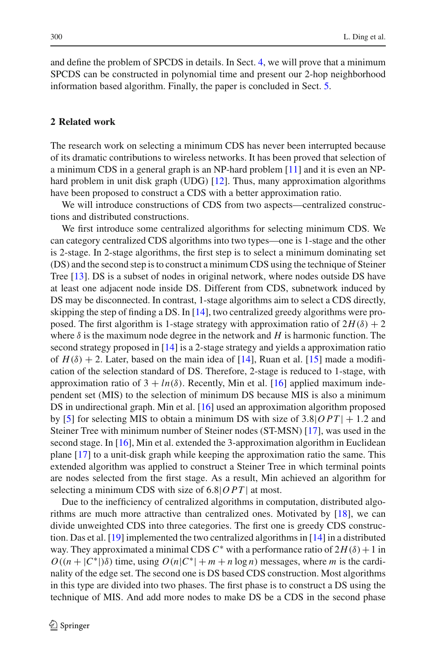and define the problem of SPCDS in details. In Sect. [4,](#page-5-0) we will prove that a minimum SPCDS can be constructed in polynomial time and present our 2-hop neighborhood information based algorithm. Finally, the paper is concluded in Sect. [5.](#page-8-8)

### <span id="page-3-0"></span>**2 Related work**

The research work on selecting a minimum CDS has never been interrupted because of its dramatic contributions to wireless networks. It has been proved that selection of a minimum CDS in a general graph is an NP-hard problem [\[11\]](#page-9-2) and it is even an NP-hard problem in unit disk graph (UDG) [\[12\]](#page-9-3). Thus, many approximation algorithms have been proposed to construct a CDS with a better approximation ratio.

We will introduce constructions of CDS from two aspects—centralized constructions and distributed constructions.

We first introduce some centralized algorithms for selecting minimum CDS. We can category centralized CDS algorithms into two types—one is 1-stage and the other is 2-stage. In 2-stage algorithms, the first step is to select a minimum dominating set (DS) and the second step is to construct a minimum CDS using the technique of Steiner Tree [\[13\]](#page-9-4). DS is a subset of nodes in original network, where nodes outside DS have at least one adjacent node inside DS. Different from CDS, subnetwork induced by DS may be disconnected. In contrast, 1-stage algorithms aim to select a CDS directly, skipping the step of finding a DS. In [\[14](#page-9-5)], two centralized greedy algorithms were proposed. The first algorithm is 1-stage strategy with approximation ratio of  $2H(\delta) + 2$ where  $\delta$  is the maximum node degree in the network and *H* is harmonic function. The second strategy proposed in [\[14\]](#page-9-5) is a 2-stage strategy and yields a approximation ratio of  $H(\delta) + 2$ . Later, based on the main idea of [\[14](#page-9-5)], Ruan et al. [\[15\]](#page-9-6) made a modification of the selection standard of DS. Therefore, 2-stage is reduced to 1-stage, with approximation ratio of  $3 + ln(\delta)$ . Recently, Min et al. [\[16](#page-9-7)] applied maximum independent set (MIS) to the selection of minimum DS because MIS is also a minimum DS in undirectional graph. Min et al. [\[16](#page-9-7)] used an approximation algorithm proposed by [\[5\]](#page-8-4) for selecting MIS to obtain a minimum DS with size of  $3.8|OPT| + 1.2$  and Steiner Tree with minimum number of Steiner nodes (ST-MSN) [\[17\]](#page-9-8), was used in the second stage. In [\[16](#page-9-7)], Min et al. extended the 3-approximation algorithm in Euclidean plane [\[17](#page-9-8)] to a unit-disk graph while keeping the approximation ratio the same. This extended algorithm was applied to construct a Steiner Tree in which terminal points are nodes selected from the first stage. As a result, Min achieved an algorithm for selecting a minimum CDS with size of 6.8|*OPT* | at most.

Due to the inefficiency of centralized algorithms in computation, distributed algorithms are much more attractive than centralized ones. Motivated by [\[18\]](#page-9-9), we can divide unweighted CDS into three categories. The first one is greedy CDS construction. Das et al. [\[19\]](#page-9-10) implemented the two centralized algorithms in [\[14](#page-9-5)] in a distributed way. They approximated a minimal CDS  $C^*$  with a performance ratio of  $2H(\delta) + 1$  in  $O((n + |C^*|)\delta)$  time, using  $O(n|C^*| + m + n \log n)$  messages, where *m* is the cardinality of the edge set. The second one is DS based CDS construction. Most algorithms in this type are divided into two phases. The first phase is to construct a DS using the technique of MIS. And add more nodes to make DS be a CDS in the second phase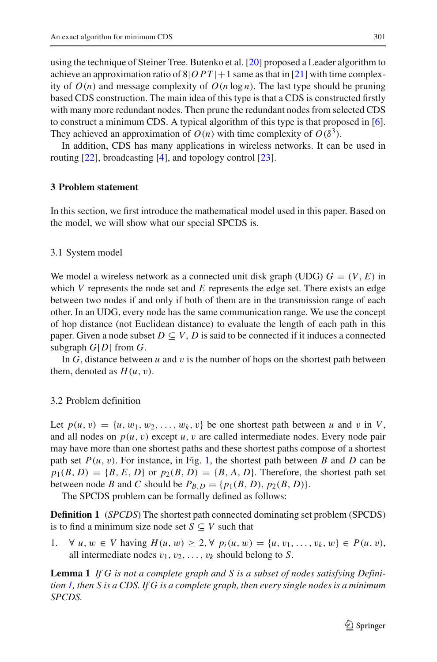using the technique of Steiner Tree. Butenko et al. [\[20](#page-9-11)] proposed a Leader algorithm to achieve an approximation ratio of  $8|OPT|+1$  same as that in [\[21](#page-9-12)] with time complexity of  $O(n)$  and message complexity of  $O(n \log n)$ . The last type should be pruning based CDS construction. The main idea of this type is that a CDS is constructed firstly with many more redundant nodes. Then prune the redundant nodes from selected CDS to construct a minimum CDS. A typical algorithm of this type is that proposed in [\[6](#page-8-6)]. They achieved an approximation of  $O(n)$  with time complexity of  $O(\delta^3)$ .

In addition, CDS has many applications in wireless networks. It can be used in routing [\[22](#page-9-13)], broadcasting [\[4](#page-8-3)], and topology control [\[23](#page-9-14)].

#### <span id="page-4-0"></span>**3 Problem statement**

In this section, we first introduce the mathematical model used in this paper. Based on the model, we will show what our special SPCDS is.

#### 3.1 System model

We model a wireless network as a connected unit disk graph (UDG)  $G = (V, E)$  in which *V* represents the node set and *E* represents the edge set. There exists an edge between two nodes if and only if both of them are in the transmission range of each other. In an UDG, every node has the same communication range. We use the concept of hop distance (not Euclidean distance) to evaluate the length of each path in this paper. Given a node subset  $D \subseteq V$ , *D* is said to be connected if it induces a connected subgraph *G*[*D*] from *G*.

In  $G$ , distance between  $u$  and  $v$  is the number of hops on the shortest path between them, denoted as  $H(u, v)$ .

# 3.2 Problem definition

Let  $p(u, v) = \{u, w_1, w_2, \ldots, w_k, v\}$  be one shortest path between *u* and *v* in *V*, and all nodes on  $p(u, v)$  except  $u, v$  are called intermediate nodes. Every node pair may have more than one shortest paths and these shortest paths compose of a shortest path set  $P(u, v)$ . For instance, in Fig. [1,](#page-2-0) the shortest path between *B* and *D* can be  $p_1(B, D) = {B, E, D}$  or  $p_2(B, D) = {B, A, D}$ . Therefore, the shortest path set between node *B* and *C* should be  $P_{B,D} = \{p_1(B,D), p_2(B,D)\}.$ 

The SPCDS problem can be formally defined as follows:

<span id="page-4-1"></span>**Definition 1** (*SPCDS*) The shortest path connected dominating set problem (SPCDS) is to find a minimum size node set  $S \subseteq V$  such that

1. ∀ *u*, *w* ∈ *V* having  $H(u, w) \geq 2, \forall p_i(u, w) = \{u, v_1, \ldots, v_k, w\} \in P(u, v),$ all intermediate nodes  $v_1, v_2, \ldots, v_k$  should belong to *S*.

**Lemma 1** *If G is not a complete graph and S is a subset of nodes satisfying Definition [1,](#page-4-1) then S is a CDS. If G is a complete graph, then every single nodes is a minimum SPCDS.*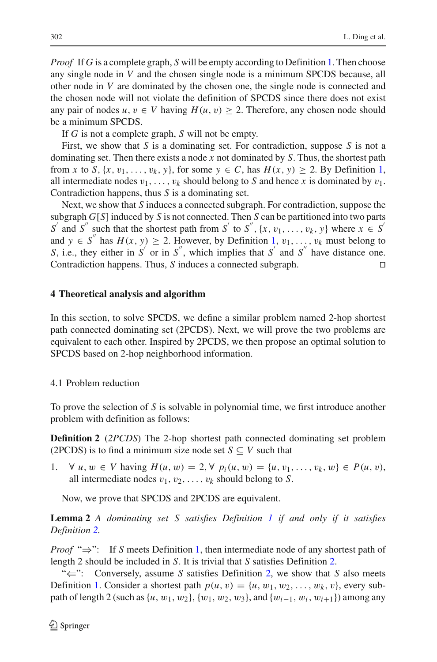*Proof* If *G* is a complete graph, *S* will be empty according to Definition [1.](#page-4-1) Then choose any single node in *V* and the chosen single node is a minimum SPCDS because, all other node in *V* are dominated by the chosen one, the single node is connected and the chosen node will not violate the definition of SPCDS since there does not exist any pair of nodes  $u, v \in V$  having  $H(u, v) \geq 2$ . Therefore, any chosen node should be a minimum SPCDS.

If *G* is not a complete graph, *S* will not be empty.

First, we show that *S* is a dominating set. For contradiction, suppose *S* is not a dominating set. Then there exists a node *x* not dominated by *S*. Thus, the shortest path from *x* to *S*,  $\{x, v_1, \ldots, v_k, y\}$  $\{x, v_1, \ldots, v_k, y\}$  $\{x, v_1, \ldots, v_k, y\}$ , for some  $y \in C$ , has  $H(x, y) \ge 2$ . By Definition 1, all intermediate nodes  $v_1, \ldots, v_k$  should belong to *S* and hence *x* is dominated by  $v_1$ . Contradiction happens, thus *S* is a dominating set.

Next, we show that *S* induces a connected subgraph. For contradiction, suppose the subgraph *G*[*S*] induced by *S* is not connected. Then *S* can be partitioned into two parts  $S'$  and  $S''$  such that the shortest path from  $S'$  to  $S''$ ,  $\{x, v_1, \ldots, v_k, y\}$  where  $x \in S'$ and  $y \in S''$  has  $H(x, y) \ge 2$ . However, by Definition [1,](#page-4-1)  $v_1, \ldots, v_k$  must belong to *S*, i.e., they either in  $S'$  or in  $S''$ , which implies that  $S'$  and  $S''$  have distance one. Contradiction happens. Thus, *S* induces a connected subgraph. 

### <span id="page-5-0"></span>**4 Theoretical analysis and algorithm**

In this section, to solve SPCDS, we define a similar problem named 2-hop shortest path connected dominating set (2PCDS). Next, we will prove the two problems are equivalent to each other. Inspired by 2PCDS, we then propose an optimal solution to SPCDS based on 2-hop neighborhood information.

4.1 Problem reduction

<span id="page-5-1"></span>To prove the selection of *S* is solvable in polynomial time, we first introduce another problem with definition as follows:

**Definition 2** (*2PCDS*) The 2-hop shortest path connected dominating set problem (2PCDS) is to find a minimum size node set  $S \subseteq V$  such that

 $∀ u, w ∈ V$  having  $H(u, w) = 2, ∀ p_i(u, w) = {u, v_1, ..., v_k, w} ∈ P(u, v),$ all intermediate nodes  $v_1, v_2, \ldots, v_k$  should belong to *S*.

Now, we prove that SPCDS and 2PCDS are equivalent.

<span id="page-5-2"></span>**Lemma 2** *A dominating set S satisfies Definition [1](#page-4-1) if and only if it satisfies Definition [2.](#page-5-1)*

*Proof* "⇒": If *S* meets Definition [1,](#page-4-1) then intermediate node of any shortest path of length 2 should be included in *S*. It is trivial that *S* satisfies Definition [2.](#page-5-1)

"⇐": Conversely, assume *S* satisfies Definition [2,](#page-5-1) we show that *S* also meets Definition [1.](#page-4-1) Consider a shortest path  $p(u, v) = \{u, w_1, w_2, \dots, w_k, v\}$ , every subpath of length 2 (such as  $\{u, w_1, w_2\}$ ,  $\{w_1, w_2, w_3\}$ , and  $\{w_{i-1}, w_i, w_{i+1}\}$ ) among any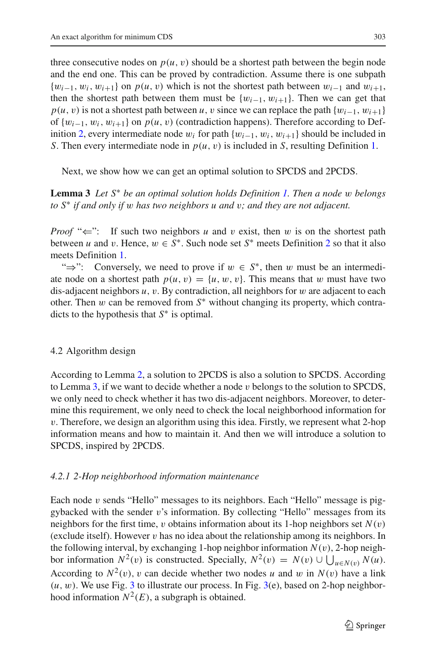three consecutive nodes on  $p(u, v)$  should be a shortest path between the begin node and the end one. This can be proved by contradiction. Assume there is one subpath  $\{w_{i-1}, w_i, w_{i+1}\}$  on  $p(u, v)$  which is not the shortest path between  $w_{i-1}$  and  $w_{i+1}$ , then the shortest path between them must be  $\{w_{i-1}, w_{i+1}\}$ . Then we can get that  $p(u, v)$  is not a shortest path between *u*, *v* since we can replace the path  $\{w_{i-1}, w_{i+1}\}$ of {w*i*−1, w*i*, w*i*+1} on *p*(*u*, v) (contradiction happens). Therefore according to Def-inition [2,](#page-5-1) every intermediate node  $w_i$  for path  $\{w_{i-1}, w_i, w_{i+1}\}$  should be included in *S*. Then every intermediate node in *p*(*u*, v) is included in *S*, resulting Definition [1.](#page-4-1)

<span id="page-6-0"></span>Next, we show how we can get an optimal solution to SPCDS and 2PCDS.

**Lemma 3** *Let S*<sup>∗</sup> *be an optimal solution holds Definition [1.](#page-4-1) Then a node* w *belongs to S*<sup>∗</sup> *if and only if* w *has two neighbors u and* v*; and they are not adjacent.*

*Proof* " $\Leftarrow$ ": If such two neighbors *u* and *v* exist, then *w* is on the shortest path between *u* and *v*. Hence,  $w \in S^*$ . Such node set  $S^*$  meets Definition [2](#page-5-1) so that it also meets Definition [1.](#page-4-1)

" $\Rightarrow$ ": Conversely, we need to prove if  $w \in S^*$ , then w must be an intermediate node on a shortest path  $p(u, v) = \{u, w, v\}$ . This means that w must have two dis-adjacent neighbors *u*, v. By contradiction, all neighbors for w are adjacent to each other. Then w can be removed from *S*<sup>∗</sup> without changing its property, which contradicts to the hypothesis that *S*<sup>∗</sup> is optimal.

# 4.2 Algorithm design

According to Lemma [2,](#page-5-2) a solution to 2PCDS is also a solution to SPCDS. According to Lemma [3,](#page-6-0) if we want to decide whether a node  $v$  belongs to the solution to SPCDS, we only need to check whether it has two dis-adjacent neighbors. Moreover, to determine this requirement, we only need to check the local neighborhood information for v. Therefore, we design an algorithm using this idea. Firstly, we represent what 2-hop information means and how to maintain it. And then we will introduce a solution to SPCDS, inspired by 2PCDS.

# *4.2.1 2-Hop neighborhood information maintenance*

Each node v sends "Hello" messages to its neighbors. Each "Hello" message is piggybacked with the sender v's information. By collecting "Hello" messages from its neighbors for the first time, v obtains information about its 1-hop neighbors set  $N(v)$ (exclude itself). However  $v$  has no idea about the relationship among its neighbors. In the following interval, by exchanging 1-hop neighbor information  $N(v)$ , 2-hop neighbor information  $N^2(v)$  is constructed. Specially,  $N^2(v) = N(v) \cup \bigcup_{u \in N(v)} N(u)$ . According to  $N^2(v)$ , v can decide whether two nodes *u* and *w* in  $N(v)$  have a link  $(u, w)$ . We use Fig. [3](#page-7-0) to illustrate our process. In Fig. [3\(](#page-7-0)e), based on 2-hop neighborhood information  $N^2(E)$ , a subgraph is obtained.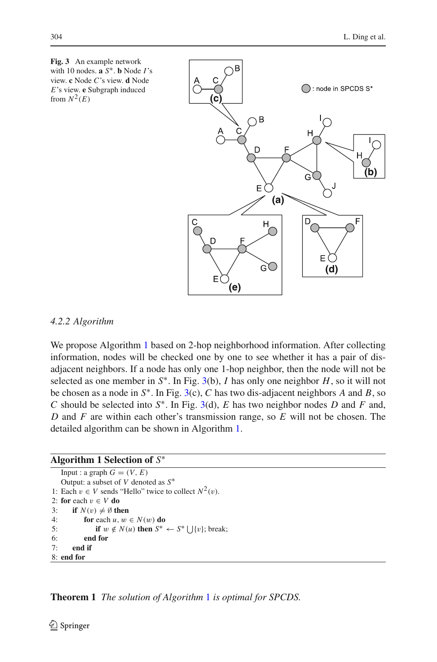<span id="page-7-0"></span>

# *4.2.2 Algorithm*

We propose Algorithm [1](#page-7-1) based on 2-hop neighborhood information. After collecting information, nodes will be checked one by one to see whether it has a pair of disadjacent neighbors. If a node has only one 1-hop neighbor, then the node will not be selected as one member in  $S^*$ . In Fig. [3\(](#page-7-0)b), *I* has only one neighbor *H*, so it will not be chosen as a node in *S*∗. In Fig. [3\(](#page-7-0)c), *C* has two dis-adjacent neighbors *A* and *B*, so *C* should be selected into *S*∗. In Fig. [3\(](#page-7-0)d), *E* has two neighbor nodes *D* and *F* and, *D* and *F* are within each other's transmission range, so *E* will not be chosen. The detailed algorithm can be shown in Algorithm [1.](#page-7-1)

# <span id="page-7-1"></span>**Algorithm 1 Selection of** *S*<sup>∗</sup>

Input : a graph  $G = (V, E)$ Output: a subset of *V* denoted as *S*<sup>∗</sup> 1: Each  $v \in V$  sends "Hello" twice to collect  $N^2(v)$ . 2: **for** each  $v \in V$  **do** 3: **if**  $N(v) \neq \emptyset$  then 4: **for** each  $u, w \in N(w)$  **do** 5: **if**  $w \notin N(u)$  **then**  $S^* \leftarrow S^* \bigcup \{v\}$ ; break; 6: **end for** 7: **end if** 8: **end for**

**Theorem 1** *The solution of Algorithm* [1](#page-7-1) *is optimal for SPCDS.*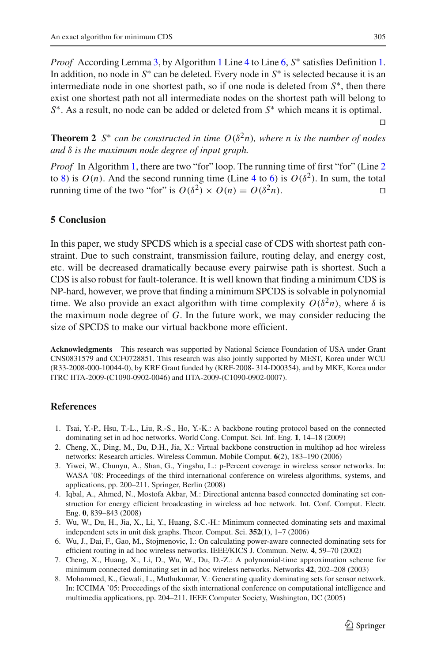*Proof* According Lemma [3,](#page-6-0) by Algorithm [1](#page-7-1) Line [4](#page-7-1) to Line [6,](#page-7-1) S<sup>∗</sup> satisfies Definition [1.](#page-4-1) In addition, no node in *S*<sup>∗</sup> can be deleted. Every node in *S*<sup>∗</sup> is selected because it is an intermediate node in one shortest path, so if one node is deleted from *S*∗, then there exist one shortest path not all intermediate nodes on the shortest path will belong to *S*<sup>∗</sup>. As a result, no node can be added or deleted from *S*<sup>∗</sup> which means it is optimal.

**Theorem 2** *S*<sup>\*</sup> *can be constructed in time*  $O(\delta^2 n)$ *, where n is the number of nodes and* δ *is the maximum node degree of input graph.*

*Proof* In Algorithm [1,](#page-7-1) there are two "for" loop. The running time of first "for" (Line [2](#page-7-1)) to [8\)](#page-7-1) is  $O(n)$ . And the second running time (Line [4](#page-7-1) to [6\)](#page-7-1) is  $O(\delta^2)$ . In sum, the total running time of the two "for" is  $O(\delta^2) \times O(n) = O(\delta^2 n)$ .

# <span id="page-8-8"></span>**5 Conclusion**

In this paper, we study SPCDS which is a special case of CDS with shortest path constraint. Due to such constraint, transmission failure, routing delay, and energy cost, etc. will be decreased dramatically because every pairwise path is shortest. Such a CDS is also robust for fault-tolerance. It is well known that finding a minimum CDS is NP-hard, however, we prove that finding a minimum SPCDS is solvable in polynomial time. We also provide an exact algorithm with time complexity  $O(\delta^2 n)$ , where  $\delta$  is the maximum node degree of *G*. In the future work, we may consider reducing the size of SPCDS to make our virtual backbone more efficient.

**Acknowledgments** This research was supported by National Science Foundation of USA under Grant CNS0831579 and CCF0728851. This research was also jointly supported by MEST, Korea under WCU (R33-2008-000-10044-0), by KRF Grant funded by (KRF-2008- 314-D00354), and by MKE, Korea under ITRC IITA-2009-(C1090-0902-0046) and IITA-2009-(C1090-0902-0007).

# <span id="page-8-0"></span>**References**

- 1. Tsai, Y.-P., Hsu, T.-L., Liu, R.-S., Ho, Y.-K.: A backbone routing protocol based on the connected dominating set in ad hoc networks. World Cong. Comput. Sci. Inf. Eng. **1**, 14–18 (2009)
- <span id="page-8-1"></span>2. Cheng, X., Ding, M., Du, D.H., Jia, X.: Virtual backbone construction in multihop ad hoc wireless networks: Research articles. Wireless Commun. Mobile Comput. **6**(2), 183–190 (2006)
- <span id="page-8-2"></span>3. Yiwei, W., Chunyu, A., Shan, G., Yingshu, L.: p-Percent coverage in wireless sensor networks. In: WASA '08: Proceedings of the third international conference on wireless algorithms, systems, and applications, pp. 200–211. Springer, Berlin (2008)
- <span id="page-8-3"></span>4. Iqbal, A., Ahmed, N., Mostofa Akbar, M.: Directional antenna based connected dominating set construction for energy efficient broadcasting in wireless ad hoc network. Int. Conf. Comput. Electr. Eng. **0**, 839–843 (2008)
- <span id="page-8-4"></span>5. Wu, W., Du, H., Jia, X., Li, Y., Huang, S.C.-H.: Minimum connected dominating sets and maximal independent sets in unit disk graphs. Theor. Comput. Sci. **352**(1), 1–7 (2006)
- <span id="page-8-6"></span>6. Wu, J., Dai, F., Gao, M., Stojmenovic, I.: On calculating power-aware connected dominating sets for efficient routing in ad hoc wireless networks. IEEE/KICS J. Commun. Netw. **4**, 59–70 (2002)
- <span id="page-8-5"></span>7. Cheng, X., Huang, X., Li, D., Wu, W., Du, D.-Z.: A polynomial-time approximation scheme for minimum connected dominating set in ad hoc wireless networks. Networks **42**, 202–208 (2003)
- <span id="page-8-7"></span>8. Mohammed, K., Gewali, L., Muthukumar, V.: Generating quality dominating sets for sensor network. In: ICCIMA '05: Proceedings of the sixth international conference on computational intelligence and multimedia applications, pp. 204–211. IEEE Computer Society, Washington, DC (2005)

 $\Box$